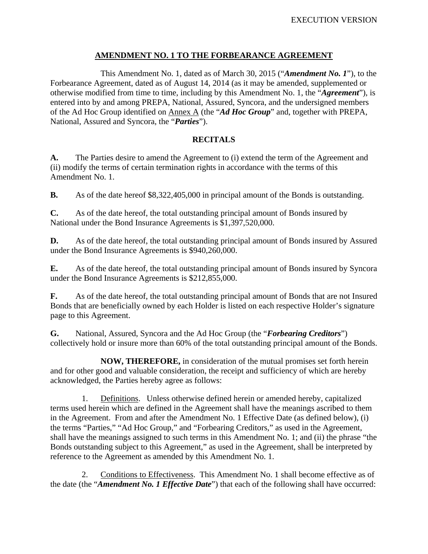#### **AMENDMENT NO. 1 TO THE FORBEARANCE AGREEMENT**

This Amendment No. 1, dated as of March 30, 2015 ("*Amendment No. 1*"), to the Forbearance Agreement, dated as of August 14, 2014 (as it may be amended, supplemented or otherwise modified from time to time, including by this Amendment No. 1, the "*Agreement*"), is entered into by and among PREPA, National, Assured, Syncora, and the undersigned members of the Ad Hoc Group identified on Annex A (the "*Ad Hoc Group*" and, together with PREPA, National, Assured and Syncora, the "*Parties*").

#### **RECITALS**

**A.** The Parties desire to amend the Agreement to (i) extend the term of the Agreement and (ii) modify the terms of certain termination rights in accordance with the terms of this Amendment No. 1.

**B.** As of the date hereof \$8,322,405,000 in principal amount of the Bonds is outstanding.

**C.** As of the date hereof, the total outstanding principal amount of Bonds insured by National under the Bond Insurance Agreements is \$1,397,520,000.

**D.** As of the date hereof, the total outstanding principal amount of Bonds insured by Assured under the Bond Insurance Agreements is \$940,260,000.

**E.** As of the date hereof, the total outstanding principal amount of Bonds insured by Syncora under the Bond Insurance Agreements is \$212,855,000.

**F.** As of the date hereof, the total outstanding principal amount of Bonds that are not Insured Bonds that are beneficially owned by each Holder is listed on each respective Holder's signature page to this Agreement.

**G.** National, Assured, Syncora and the Ad Hoc Group (the "*Forbearing Creditors*") collectively hold or insure more than 60% of the total outstanding principal amount of the Bonds.

**NOW, THEREFORE,** in consideration of the mutual promises set forth herein and for other good and valuable consideration, the receipt and sufficiency of which are hereby acknowledged, the Parties hereby agree as follows:

1. Definitions. Unless otherwise defined herein or amended hereby, capitalized terms used herein which are defined in the Agreement shall have the meanings ascribed to them in the Agreement. From and after the Amendment No. 1 Effective Date (as defined below), (i) the terms "Parties," "Ad Hoc Group," and "Forbearing Creditors," as used in the Agreement, shall have the meanings assigned to such terms in this Amendment No. 1; and (ii) the phrase "the Bonds outstanding subject to this Agreement," as used in the Agreement, shall be interpreted by reference to the Agreement as amended by this Amendment No. 1.

2. Conditions to Effectiveness. This Amendment No. 1 shall become effective as of the date (the "*Amendment No. 1 Effective Date*") that each of the following shall have occurred: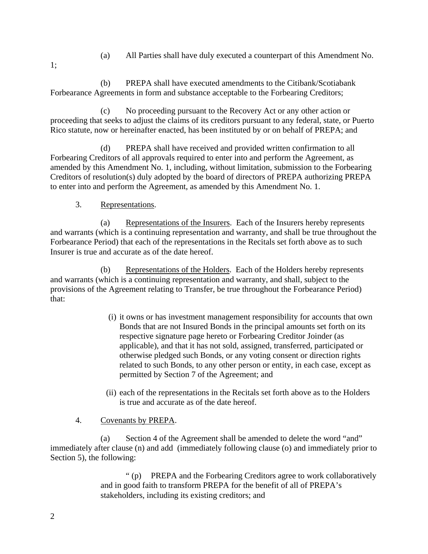- (a) All Parties shall have duly executed a counterpart of this Amendment No.
- 1;

(b) PREPA shall have executed amendments to the Citibank/Scotiabank Forbearance Agreements in form and substance acceptable to the Forbearing Creditors;

(c) No proceeding pursuant to the Recovery Act or any other action or proceeding that seeks to adjust the claims of its creditors pursuant to any federal, state, or Puerto Rico statute, now or hereinafter enacted, has been instituted by or on behalf of PREPA; and

(d) PREPA shall have received and provided written confirmation to all Forbearing Creditors of all approvals required to enter into and perform the Agreement, as amended by this Amendment No. 1, including, without limitation, submission to the Forbearing Creditors of resolution(s) duly adopted by the board of directors of PREPA authorizing PREPA to enter into and perform the Agreement, as amended by this Amendment No. 1.

#### 3. Representations.

(a) Representations of the Insurers. Each of the Insurers hereby represents and warrants (which is a continuing representation and warranty, and shall be true throughout the Forbearance Period) that each of the representations in the Recitals set forth above as to such Insurer is true and accurate as of the date hereof.

(b) Representations of the Holders. Each of the Holders hereby represents and warrants (which is a continuing representation and warranty, and shall, subject to the provisions of the Agreement relating to Transfer, be true throughout the Forbearance Period) that:

- (i) it owns or has investment management responsibility for accounts that own Bonds that are not Insured Bonds in the principal amounts set forth on its respective signature page hereto or Forbearing Creditor Joinder (as applicable), and that it has not sold, assigned, transferred, participated or otherwise pledged such Bonds, or any voting consent or direction rights related to such Bonds, to any other person or entity, in each case, except as permitted by Section 7 of the Agreement; and
- (ii) each of the representations in the Recitals set forth above as to the Holders is true and accurate as of the date hereof.

#### 4. Covenants by PREPA.

(a) Section 4 of the Agreement shall be amended to delete the word "and" immediately after clause (n) and add (immediately following clause (o) and immediately prior to Section 5), the following:

> " (p) PREPA and the Forbearing Creditors agree to work collaboratively and in good faith to transform PREPA for the benefit of all of PREPA's stakeholders, including its existing creditors; and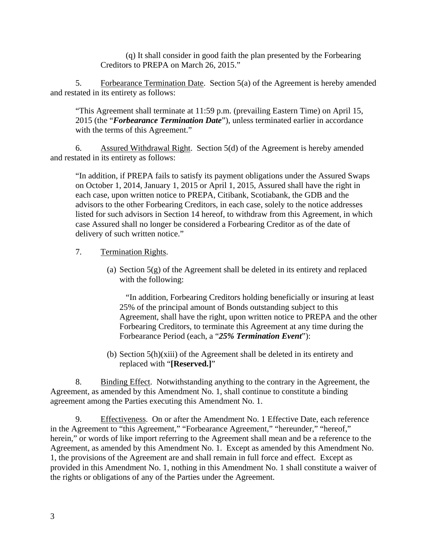(q) It shall consider in good faith the plan presented by the Forbearing Creditors to PREPA on March 26, 2015."

5. Forbearance Termination Date. Section 5(a) of the Agreement is hereby amended and restated in its entirety as follows:

"This Agreement shall terminate at 11:59 p.m. (prevailing Eastern Time) on April 15, 2015 (the "*Forbearance Termination Date*"), unless terminated earlier in accordance with the terms of this Agreement."

6. Assured Withdrawal Right. Section 5(d) of the Agreement is hereby amended and restated in its entirety as follows:

"In addition, if PREPA fails to satisfy its payment obligations under the Assured Swaps on October 1, 2014, January 1, 2015 or April 1, 2015, Assured shall have the right in each case, upon written notice to PREPA, Citibank, Scotiabank, the GDB and the advisors to the other Forbearing Creditors, in each case, solely to the notice addresses listed for such advisors in Section 14 hereof, to withdraw from this Agreement, in which case Assured shall no longer be considered a Forbearing Creditor as of the date of delivery of such written notice."

#### 7. Termination Rights.

(a) Section 5(g) of the Agreement shall be deleted in its entirety and replaced with the following:

 "In addition, Forbearing Creditors holding beneficially or insuring at least 25% of the principal amount of Bonds outstanding subject to this Agreement, shall have the right, upon written notice to PREPA and the other Forbearing Creditors, to terminate this Agreement at any time during the Forbearance Period (each, a "*25% Termination Event*"):

(b) Section 5(h)(xiii) of the Agreement shall be deleted in its entirety and replaced with "**[Reserved.]**"

8. Binding Effect. Notwithstanding anything to the contrary in the Agreement, the Agreement, as amended by this Amendment No. 1, shall continue to constitute a binding agreement among the Parties executing this Amendment No. 1.

9. Effectiveness. On or after the Amendment No. 1 Effective Date, each reference in the Agreement to "this Agreement," "Forbearance Agreement," "hereunder," "hereof," herein," or words of like import referring to the Agreement shall mean and be a reference to the Agreement, as amended by this Amendment No. 1. Except as amended by this Amendment No. 1, the provisions of the Agreement are and shall remain in full force and effect. Except as provided in this Amendment No. 1, nothing in this Amendment No. 1 shall constitute a waiver of the rights or obligations of any of the Parties under the Agreement.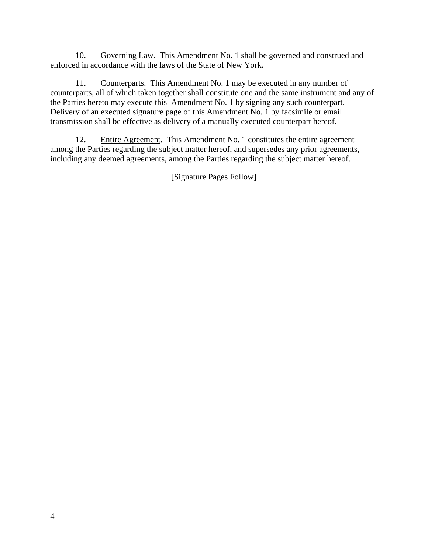10. Governing Law. This Amendment No. 1 shall be governed and construed and enforced in accordance with the laws of the State of New York.

11. Counterparts. This Amendment No. 1 may be executed in any number of counterparts, all of which taken together shall constitute one and the same instrument and any of the Parties hereto may execute this Amendment No. 1 by signing any such counterpart. Delivery of an executed signature page of this Amendment No. 1 by facsimile or email transmission shall be effective as delivery of a manually executed counterpart hereof.

12. Entire Agreement. This Amendment No. 1 constitutes the entire agreement among the Parties regarding the subject matter hereof, and supersedes any prior agreements, including any deemed agreements, among the Parties regarding the subject matter hereof.

[Signature Pages Follow]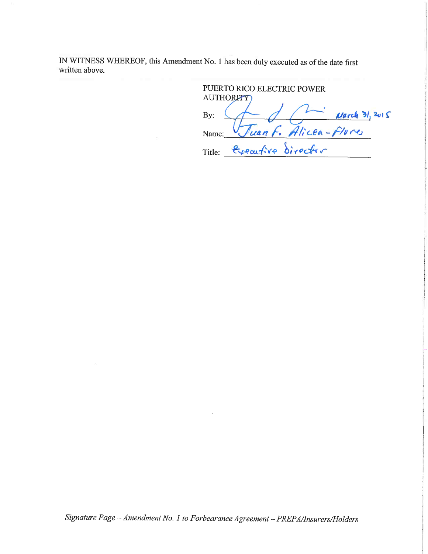IN WITNESS WHEREOF, this Amendment No. 1 has been duly executed as of the date first written above.

PUERTO RICO ELECTRIC POWER AUTHORITY Juan F. Alicea-Flores By: Name: Title: <del>Executive</del> director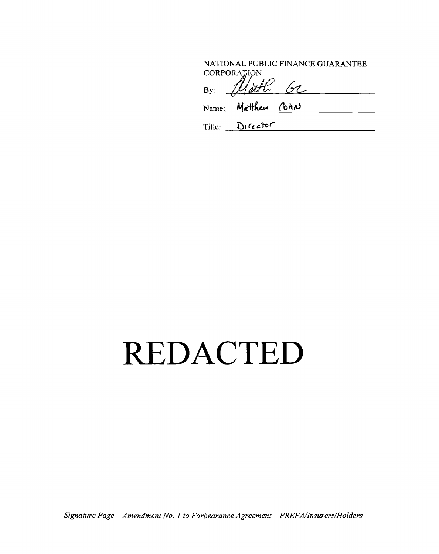NATIONAL PUBLIC FINANCE GUARANTEE CORPORATION  $\mathbb{R}$ 

| B | as v<br>, ,<br>$\sim$ | - . |  |
|---|-----------------------|-----|--|
|   |                       |     |  |

Name: Matthew Coha

Title: Director

### REDACTED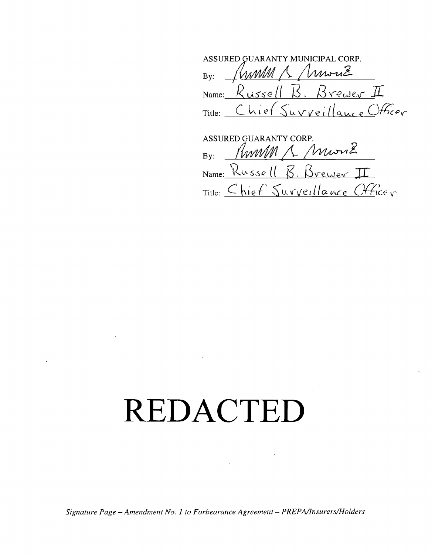ASSURED GUARANTY MUNICIPAL CORP. Kunn A Muriz  $By:$ Name:  $Russell B. Brewer II$ Title: Chief Surveillance Officer

ASSURED GUARANTY CORP. Kumm 1 Muriz  $Bv:$ Name: Russell B. Brewer II Title: Chief Surveillance Officer

# REDACTED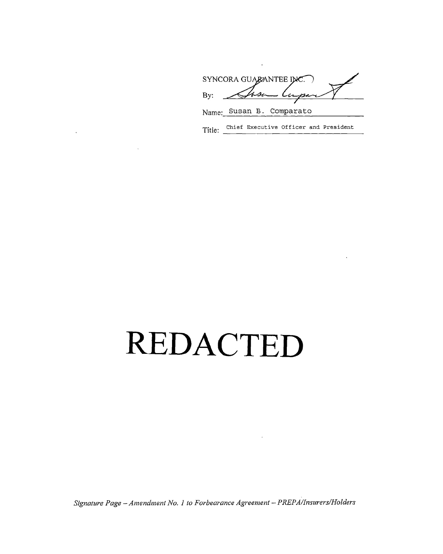SYNCORA GUARANTEE INC. Lupe By:  $\mathcal{A} \mathcal{A}$ 

Name: Susan B. Comparato

Title: Chief Executive Officer and President

### REDACTED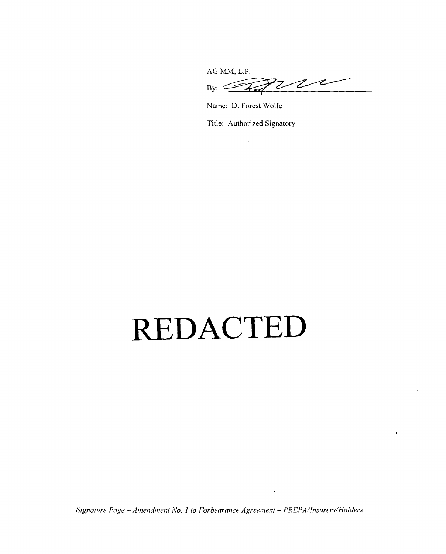**AG** MM, L.P.  $200$ **By:**

Name: D. Forest Wolfe

Title: Authorized Signatory

 $\alpha$ 

# **REDACTED**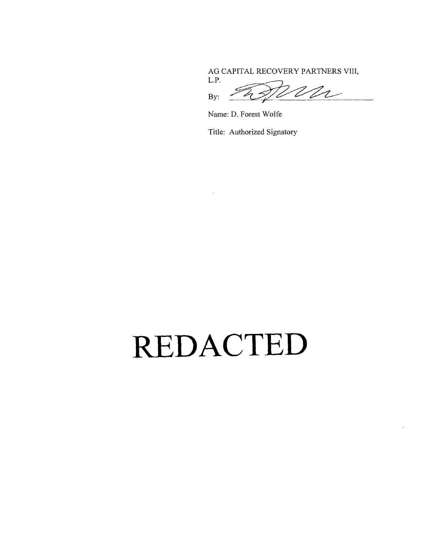**AG** CAPITAL RECOVERY PARTNERS VIII,

L.P.  $By: \ \widehat{\mathbb{Z}}$ 

Name: **D.** Forest Wolfe

Title: Authorized Signatory

**REDACTED**

 $\Delta$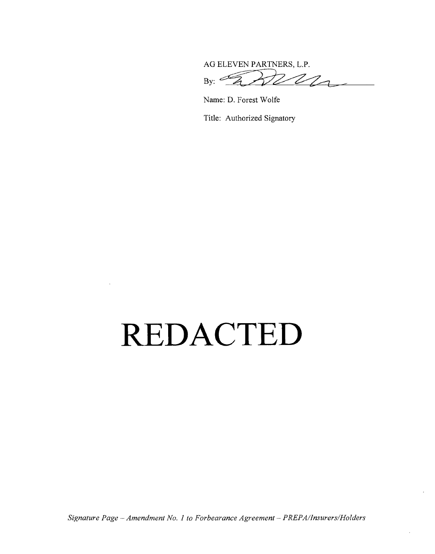**AG ELEVEN** PARTNERS, L.P.  $22-$ Æ **By:**

Name: D. Forest Wolfe

Title: Authorized Signatory

### **REDACTED**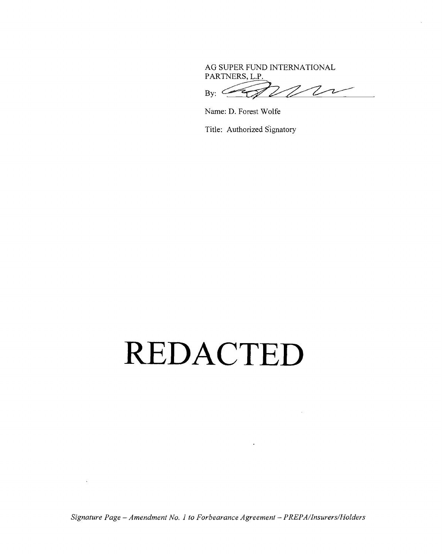AG SUPER FUND INTERNATIONAL PARTNERS, L.P.

 $\overline{Z}$ Z By:

Name: D. Forest Wolfe

Title: Authorized Signatory

### REDACTED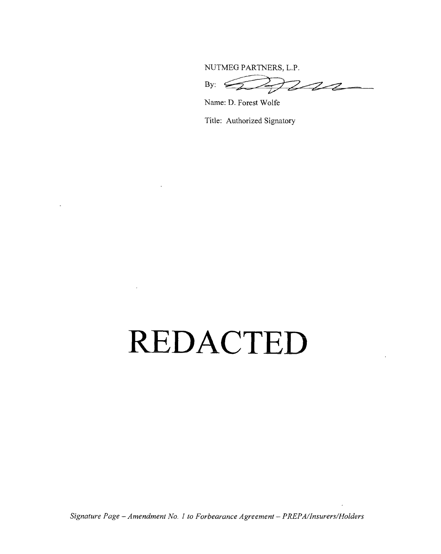**NUTMEG** PARTNERS, L.P.

By:  $\bigcirc$ 

Name: **D.** Forest Wolfe

Title: Authorized Signatory

### **REDACTED**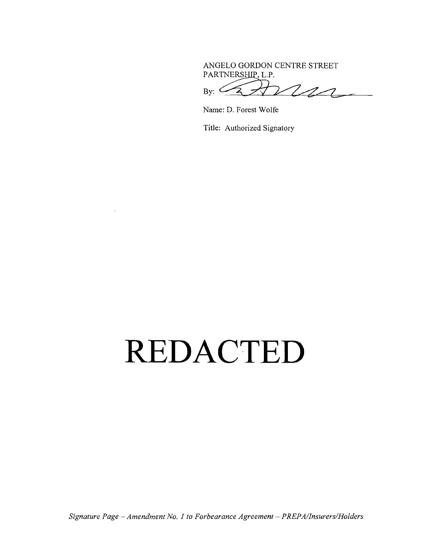**ANGELO** GORDON **CENTRE** STREET PARTNERSHIP, L.P.

m  $_{\rm By:}$   $\subset$ 

Name: **D.** Forest Wolfe

Title: Authorized Signatory

### **REDAC TED**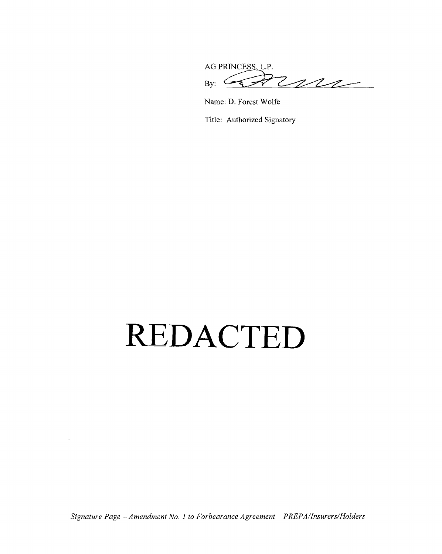AG PRINCESS, L.P.  $By:$   $\overleftrightarrow{B}$ 

Name: D. Forest Wolfe

Title: Authorized Signatory

# **REDAC TED**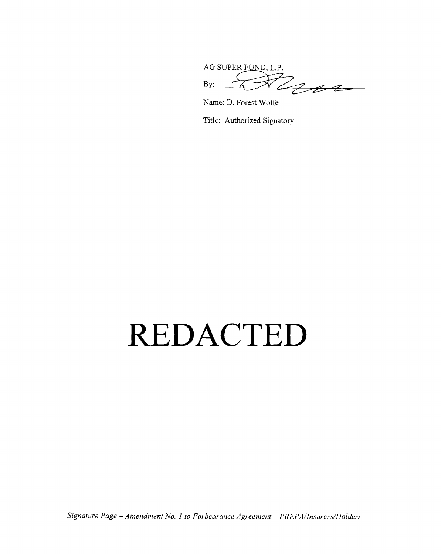AG SUPER FUND, L.P. AG SUPER PULLER,

Name: **D.** Forest Wolfe

Title: Authorized Signatory

### **REDAC TED**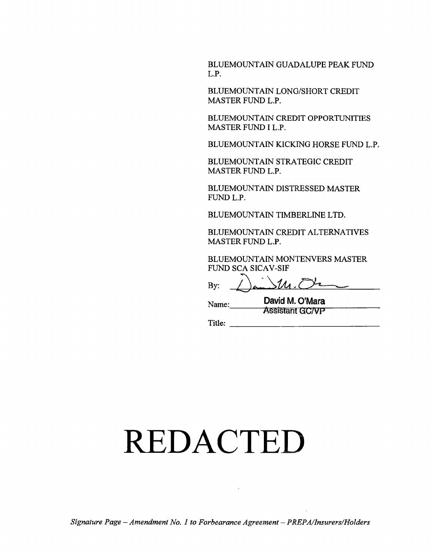**BLUEMOUNTAIN GUADALUPE** PEAK **FUND** L.P.

**BLUEMOUNTAIN** LONG/SHORT CREDIT MASTER **FUND** L.P.

**BLUEMOUNTAIN** CREDIT **OPPORTUNITIES** MASTER **FUND** I L.P.

**BLUEMOUNTAIN** KICKING HORSE **FUND** L.P.

**BLUEMOUNTAIN** STRATEGIC CREDIT MASTER **FUND** L.

**BLUEMOUNTAIN DISTRESSED** MASTER **FUND** L.P.

**BLUEMOUNTAIN** TIMBERLINE LTD.

**BLUEMOUNTAIN** CREDIT **ALTERNATIVES** MASTER **FUND** L.P.

**BLUEMOUNTAIN MONTENVERS** MASTER **FUND SCA SICAV-SIF**

 $511.0$ **By:**

Name: David M. O'Mara **Assistant GC/VP** 

 $\text{Title:}$ 

# **REDAC TED**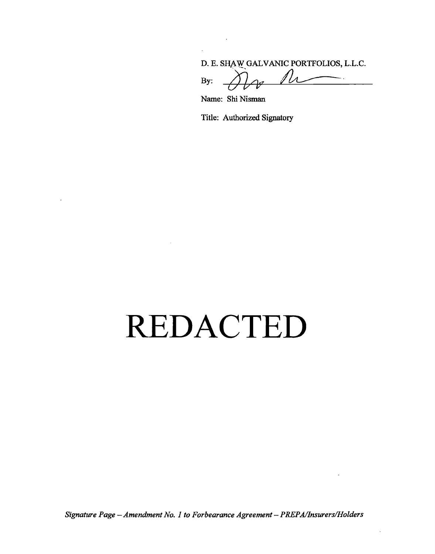**D. E. SHAW GALVANIC** PORTFOLIOS, **L.L.C.**

 $\overline{\phantom{a}}$ **By:** 

Name: Shi Nisman

Title: Authorized Signatory

# **REDAC TED**

*Signature Page* **-** *Amendment No. 1 to Forbearance Agreement* **-** *PREPA/Insurers/Holders*

 $\bar{.}$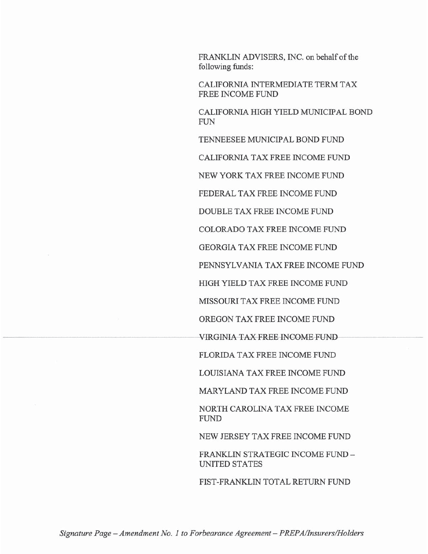FRANKLIN ADVISERS, INC. on behalf of the following funds:

CALIFORNIA INTERMEDIATE TERM TAX FREE INCOME FUND

CALIFORNIA HIGH YIELD MUNICIPAL BOND **FUN** 

TENNEESEE MUNICIPAL BOND FUND

CALIFORNIA TAX FREE INCOME FUND

NEW YORK TAX FREE INCOME FUND

FEDERAL TAX FREE INCOME FUND

DOUBLE TAX FREE INCOME FUND

COLORADO TAX FREE INCOME FUND

**GEORGIA TAX FREE INCOME FUND** 

PENNSYLVANIA TAX FREE INCOME FUND

HIGH YIELD TAX FREE INCOME FUND

MISSOURI TAX FREE INCOME FUND

OREGON TAX FREE INCOME FUND

VIRGINIA TAX FREE INCOME FUND

FLORIDA TAX FREE INCOME FUND

LOUISIANA TAX FREE INCOME FUND

MARYLAND TAX FREE INCOME FUND

NORTH CAROLINA TAX FREE INCOME **FUND** 

NEW JERSEY TAX FREE INCOME FUND

FRANKLIN STRATEGIC INCOME FUND -UNITED STATES

FIST-FRANKLIN TOTAL RETURN FUND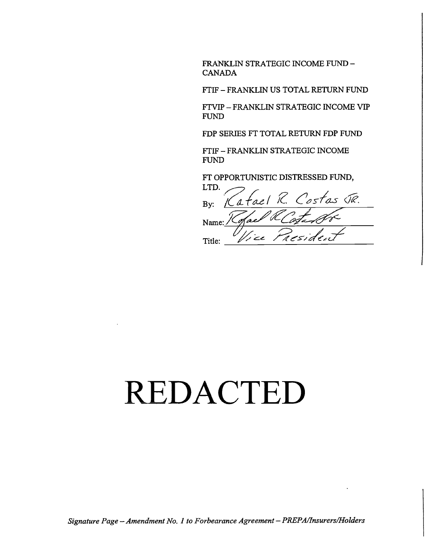FRANKLIN **STRATEGIC** INCOME **FUND - CANADA**

FTIF **-** FRANKLIN **US** TOTAL RETURN **FUND**

FT VIP **-** FRANKLIN STRATEGIC **INCOME** VIP **FUND**

FDP SERIES FT TOTAL RETURN FDP **FUND**

FTIF **-** FRANKLIN **STRATEGIC** INCOME **FUND**

FT OPPORTUNISTIC DISTRESSED **FUND,**

LTD. atael R. Costas JR. By: (o.e. Name: Residen  $z'$ Title:

### **REDAC TED**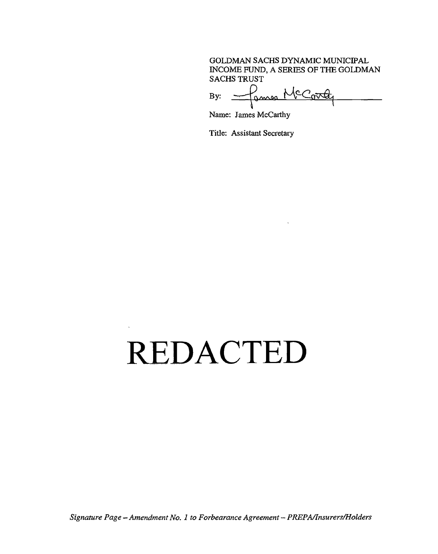#### **GOLDMAN SACHS DYNAMIC** MUNICIPAL **INCOME FUND, A SERIES** OF **THE GOLDMAN SACHS** TRUST

By: <u>James McCord</u>

Name: James McCarthy

Title: Assistant Secretary

# **REDAC TED**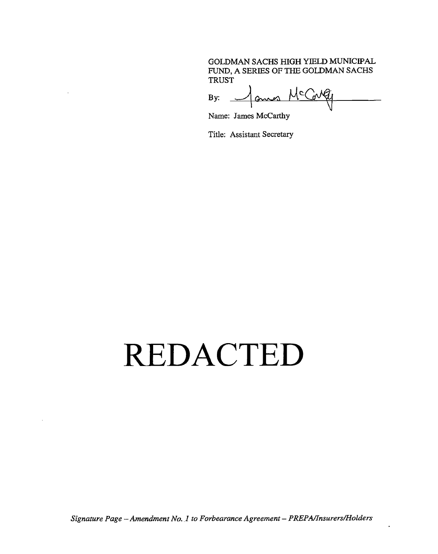#### **GOLDMAN SACHS** HIGH YIELD MUNICIPAL **FUND, A SERIES** OF THE **GOLDMAN SACHS**

TRUST<br>By:  $\overrightarrow{A}$ 

Name: James McCarthy

Title: Assistant Secretary

### **REDAC TED**

*Signature Page* **-** *Amendment No. .1 to Forbearance Agreement* **-** *PREPA/Insurers/Holders*

 $\ddot{\phantom{0}}$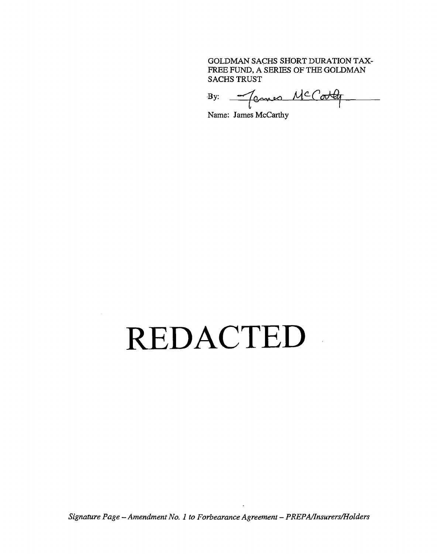#### **GOLDMAN SACHS** SHORT DURATION TAX-FREE **FUND, A** SERIES OF THE **GOLDMAN SACHS** TRUST

By: <u>James McColly</u>

Name: James *McCarthy*

### **REDAC TED**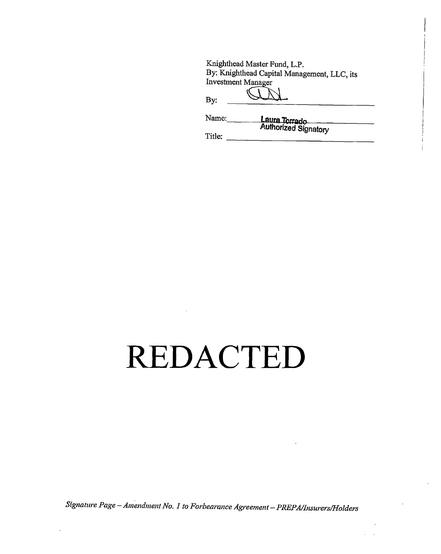| Knighthead Master Fund, L.P.                |
|---------------------------------------------|
| By: Knighthead Capital Management, LLC, its |
| <b>Investment Manager</b>                   |
|                                             |
| By:                                         |

| Name:  | <b>Laura Torrado</b> |  |
|--------|----------------------|--|
| Title: | Authorized Signatory |  |

#### **REDACTED**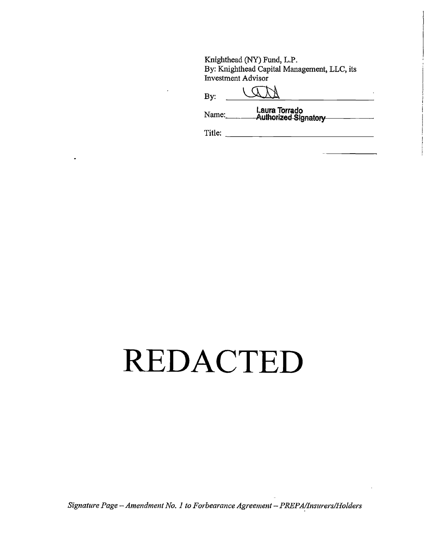Knighthead (NY) Fund, L.P. By: Knighthead Capital Management, LLC, its Investment Advisor

Name: Laura Torrado<br>Authorized Signatory

### REDACTED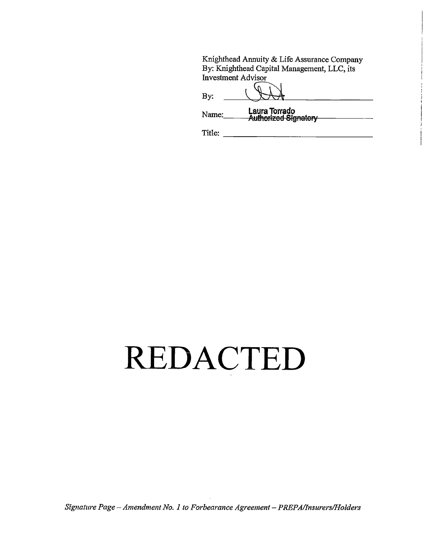Knighthead Annuity & Life Assurance Company By: Knighthead Capital Management, LLC, its Investment Advisor

Laura Torrado<br>Authorized Signatory Name:

### REDACTED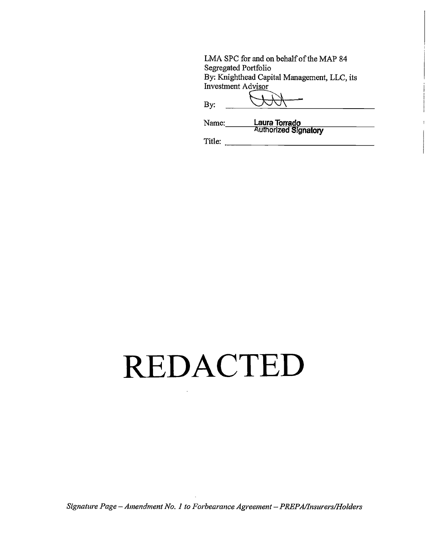LMA SPC for and on behalf of the MAP 84 Segregated Portfolio By: Knighthead Capital Management, LLC, its **Investment Advisor**  $\mathbf{By:}$ IJ

| Name: | Laura Torrado               |  |
|-------|-----------------------------|--|
|       | <b>Authorized Signatory</b> |  |

Title:

# REDACTED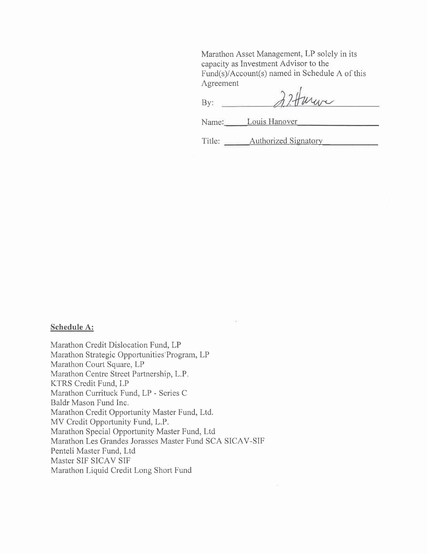Marathon Asset Management, LP solely in its capacity as Investment Advisor to the Fund(s)/Account(s) named in Schedule A of this Agreement

mare  $By:$ 

Name: Louis Hanover

Title: Authorized Signatory

#### **Schedule A:**

Marathon Credit Dislocation Fund, LP Marathon Strategic Opportunities Program, LP Marathon Court Square, LP Marathon Centre Street Partnership, L.P. KTRS Credit Fund, LP Marathon Currituck Fund, LP - Series C Baldr Mason Fund Inc. Marathon Credit Opportunity Master Fund, Ltd. MV Credit Opportunity Fund, L.P. Marathon Special Opportunity Master Fund, Ltd Marathon Les Grandes Jorasses Master Fund SCA SICAV-SIF Penteli Master Fund, Ltd Master SIF SICAV SIF Marathon Liquid Credit Long Short Fund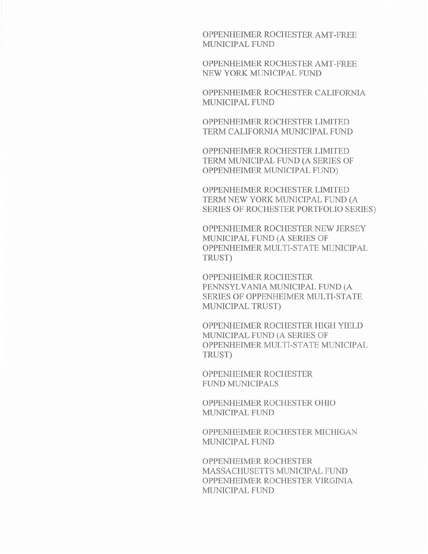OPPENHEIMER ROCHESTER AMT-FREE MUNICIPAL FUND

OPPENHEIMER ROCHESTER AMT-FREE NEW YORK MUNICIPAL FUND

OPPENHEIMER ROCHESTER CALIFORNIA MUNICIPAL FUND

OPPENHEIMER ROCHESTER LIMITED TERM CALIFORNIA MUNICIPAL FUND

OPPENHEIMER ROCHESTER LIMITED TERM MUNICIPAL FUND (A SERIES OF OPPENHEIMER MUNICIPAL FUND)

OPPENHEIMER ROCHESTER LIMITED TERM NEW YORK MUNICIPAL FUND (A SERIES OF ROCHESTER PORTFOLIO SERIES)

OPPENHEIMER ROCHESTER NEW JERSEY MUNICIPAL FUND (A SERIES OF OPPENHEIMER MULTI-STATE MUNICIPAL TRUST)

OPPENHEIMER ROCHESTER PENNSYLVANIA MUNICIPAL FUND (A SERIES OF OPPENHEIMER MULTI-STATE MUNICIPAL TRUST)

OPPENHEIMER ROCHESTER HIGH YIELD MUNICIPAL FUND (A SERIES OF OPPENHEIMER MULTI-STATE MUNICIPAL TRUST)

OPPENHEIMER ROCHESTER **FUND MUNICIPALS** 

OPPENHEIMER ROCHESTER OHIO MUNICIPAL FUND

OPPENHEIMER ROCHESTER MICHIGAN MUNICIPAL FUND

OPPENHEIMER ROCHESTER MASSACHUSETTS MUNICIPAL FUND OPPENHEIMER ROCHESTER VIRGINIA MUNICIPAL FUND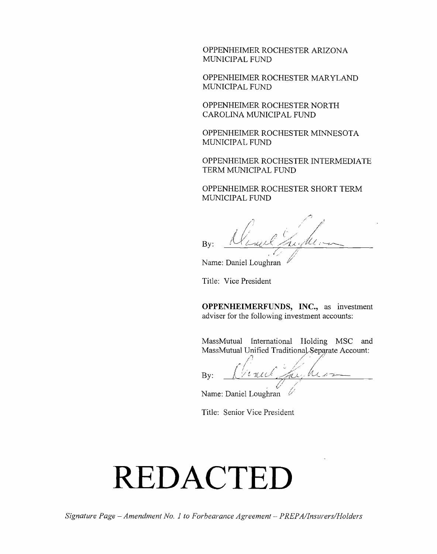OPPENHEIMER ROCHESTER ARIZONA **MUNICIPAL FUND**

OPPENHEIMER ROCHESTER MARYLAND MUNICIPAL **FUND**

OPPENHEIMER ROCHESTER NORTH **CAROLINA MUNICIPAL FUND**

OPPENHEIMER ROCHESTER **MINNESOTA MUNICIPAL FUND**

OPPENHEIMER ROCIHESTER INTERMEDIATE TERM **MUNICIPAL FUND**

OPPENHEIMER ROCHESTER SHORT TERM **MUNICIPAL FUND**

By: Went Fright

Title: Vice President

**OPPENHEIMERFUNDS, INC.,** as investment adviser for the following investment accounts:

MassMutual International Holding MSC and MassMutual Unified Traditional Separate Account:

**By:** 

Name: Daniel Loughran

Title: Senior Vice President

# **REDAC TED**

Name: Daniel Loughran "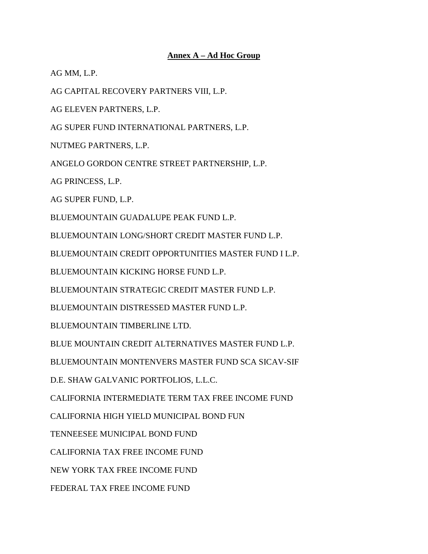#### **Annex A – Ad Hoc Group**

AG MM, L.P.

AG CAPITAL RECOVERY PARTNERS VIII, L.P.

AG ELEVEN PARTNERS, L.P.

AG SUPER FUND INTERNATIONAL PARTNERS, L.P.

NUTMEG PARTNERS, L.P.

ANGELO GORDON CENTRE STREET PARTNERSHIP, L.P.

AG PRINCESS, L.P.

AG SUPER FUND, L.P.

BLUEMOUNTAIN GUADALUPE PEAK FUND L.P.

BLUEMOUNTAIN LONG/SHORT CREDIT MASTER FUND L.P.

BLUEMOUNTAIN CREDIT OPPORTUNITIES MASTER FUND I L.P.

BLUEMOUNTAIN KICKING HORSE FUND L.P.

BLUEMOUNTAIN STRATEGIC CREDIT MASTER FUND L.P.

BLUEMOUNTAIN DISTRESSED MASTER FUND L.P.

BLUEMOUNTAIN TIMBERLINE LTD.

BLUE MOUNTAIN CREDIT ALTERNATIVES MASTER FUND L.P.

BLUEMOUNTAIN MONTENVERS MASTER FUND SCA SICAV-SIF

D.E. SHAW GALVANIC PORTFOLIOS, L.L.C.

CALIFORNIA INTERMEDIATE TERM TAX FREE INCOME FUND

CALIFORNIA HIGH YIELD MUNICIPAL BOND FUN

TENNEESEE MUNICIPAL BOND FUND

CALIFORNIA TAX FREE INCOME FUND

NEW YORK TAX FREE INCOME FUND

FEDERAL TAX FREE INCOME FUND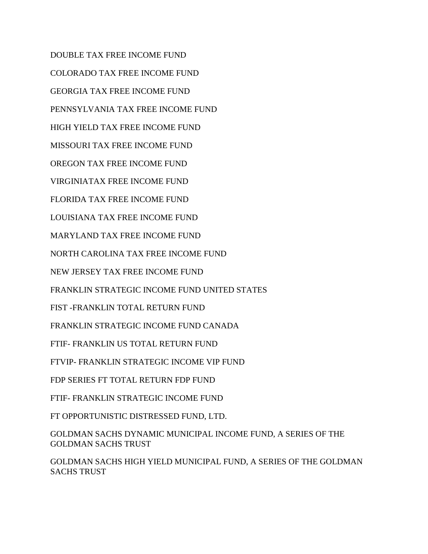DOUBLE TAX FREE INCOME FUND COLORADO TAX FREE INCOME FUND GEORGIA TAX FREE INCOME FUND PENNSYLVANIA TAX FREE INCOME FUND HIGH YIELD TAX FREE INCOME FUND MISSOURI TAX FREE INCOME FUND OREGON TAX FREE INCOME FUND VIRGINIATAX FREE INCOME FUND FLORIDA TAX FREE INCOME FUND LOUISIANA TAX FREE INCOME FUND MARYLAND TAX FREE INCOME FUND NORTH CAROLINA TAX FREE INCOME FUND NEW JERSEY TAX FREE INCOME FUND FRANKLIN STRATEGIC INCOME FUND UNITED STATES FIST -FRANKLIN TOTAL RETURN FUND

FRANKLIN STRATEGIC INCOME FUND CANADA

FTIF- FRANKLIN US TOTAL RETURN FUND

FTVIP- FRANKLIN STRATEGIC INCOME VIP FUND

FDP SERIES FT TOTAL RETURN FDP FUND

FTIF- FRANKLIN STRATEGIC INCOME FUND

FT OPPORTUNISTIC DISTRESSED FUND, LTD.

GOLDMAN SACHS DYNAMIC MUNICIPAL INCOME FUND, A SERIES OF THE GOLDMAN SACHS TRUST

GOLDMAN SACHS HIGH YIELD MUNICIPAL FUND, A SERIES OF THE GOLDMAN SACHS TRUST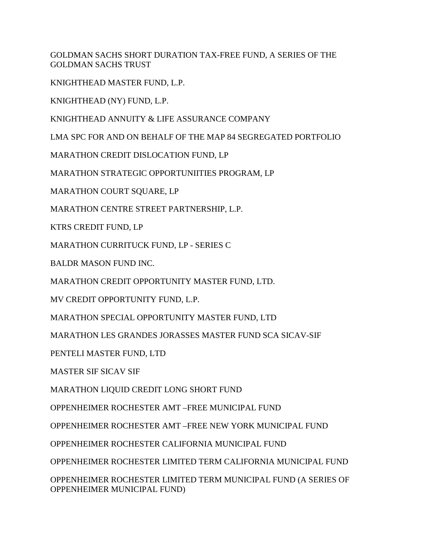GOLDMAN SACHS SHORT DURATION TAX-FREE FUND, A SERIES OF THE GOLDMAN SACHS TRUST

KNIGHTHEAD MASTER FUND, L.P.

KNIGHTHEAD (NY) FUND, L.P.

KNIGHTHEAD ANNUITY & LIFE ASSURANCE COMPANY

LMA SPC FOR AND ON BEHALF OF THE MAP 84 SEGREGATED PORTFOLIO

MARATHON CREDIT DISLOCATION FUND, LP

MARATHON STRATEGIC OPPORTUNIITIES PROGRAM, LP

MARATHON COURT SQUARE, LP

MARATHON CENTRE STREET PARTNERSHIP, L.P.

KTRS CREDIT FUND, LP

MARATHON CURRITUCK FUND, LP - SERIES C

BALDR MASON FUND INC.

MARATHON CREDIT OPPORTUNITY MASTER FUND, LTD.

MV CREDIT OPPORTUNITY FUND, L.P.

MARATHON SPECIAL OPPORTUNITY MASTER FUND, LTD

MARATHON LES GRANDES JORASSES MASTER FUND SCA SICAV-SIF

PENTELI MASTER FUND, LTD

MASTER SIF SICAV SIF

MARATHON LIQUID CREDIT LONG SHORT FUND

OPPENHEIMER ROCHESTER AMT –FREE MUNICIPAL FUND

OPPENHEIMER ROCHESTER AMT –FREE NEW YORK MUNICIPAL FUND

OPPENHEIMER ROCHESTER CALIFORNIA MUNICIPAL FUND

OPPENHEIMER ROCHESTER LIMITED TERM CALIFORNIA MUNICIPAL FUND

OPPENHEIMER ROCHESTER LIMITED TERM MUNICIPAL FUND (A SERIES OF OPPENHEIMER MUNICIPAL FUND)